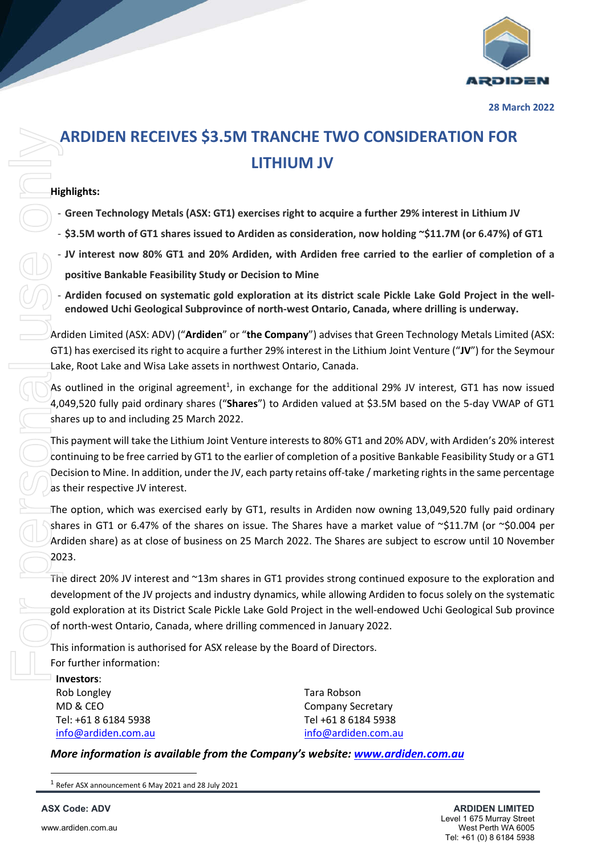## **ARDIDEN RECEIVES \$3.5M TRANCHE TWO CONSIDERATION FOR LITHIUM JV**

## **Highlights:**

- **Green Technology Metals (ASX: GT1) exercises right to acquire a further 29% interest in Lithium JV**
- **\$3.5M worth of GT1 shares issued to Ardiden as consideration, now holding ~\$11.7M (or 6.47%) of GT1**
- **JV interest now 80% GT1 and 20% Ardiden, with Ardiden free carried to the earlier of completion of a positive Bankable Feasibility Study or Decision to Mine**
- **Ardiden focused on systematic gold exploration at its district scale Pickle Lake Gold Project in the wellendowed Uchi Geological Subprovince of north-west Ontario, Canada, where drilling is underway.**

Ardiden Limited (ASX: ADV) ("**Ardiden**" or "**the Company**") advises that Green Technology Metals Limited (ASX: GT1) has exercised its right to acquire a further 29% interest in the Lithium Joint Venture ("**JV**") for the Seymour Lake, Root Lake and Wisa Lake assets in northwest Ontario, Canada.

As outlined in the original agreement<sup>1</sup>, in exchange for the additional 29% JV interest, GT1 has now issued 4,049,520 fully paid ordinary shares ("**Shares**") to Ardiden valued at \$3.5M based on the 5-day VWAP of GT1 shares up to and including 25 March 2022.

This payment will take the Lithium Joint Venture interests to 80% GT1 and 20% ADV, with Ardiden's 20% interest continuing to be free carried by GT1 to the earlier of completion of a positive Bankable Feasibility Study or a GT1 Decision to Mine. In addition, under the JV, each party retains off-take / marketing rights in the same percentage as their respective JV interest.

The option, which was exercised early by GT1, results in Ardiden now owning 13,049,520 fully paid ordinary shares in GT1 or 6.47% of the shares on issue. The Shares have a market value of ~\$11.7M (or ~\$0.004 per Ardiden share) as at close of business on 25 March 2022. The Shares are subject to escrow until 10 November 2023. **ARDIDEN RECEIVES \$3.51**<br>
Highlights:<br>  $\cdot$  Green Technology Metals (ASX: GT1)<br>  $\cdot$  \$3.5M worth of GT1 shares issued to<br>  $\cdot$  JV interest now 80% GT1 and 20% A<br>
positive Bankable Feasibility Study or<br>  $\cdot$  and to moved t

The direct 20% JV interest and ~13m shares in GT1 provides strong continued exposure to the exploration and development of the JV projects and industry dynamics, while allowing Ardiden to focus solely on the systematic gold exploration at its District Scale Pickle Lake Gold Project in the well-endowed Uchi Geological Sub province of north-west Ontario, Canada, where drilling commenced in January 2022.

This information is authorised for ASX release by the Board of Directors. For further information:

**Investors**: Rob Longley MD & CEO Tel: +61 8 6184 5938 info@ardiden.com.au

Tara Robson Company Secretary Tel +61 8 6184 5938 info@ardiden.com.au

*More information is available from the Company's website: www.ardiden.com.au*